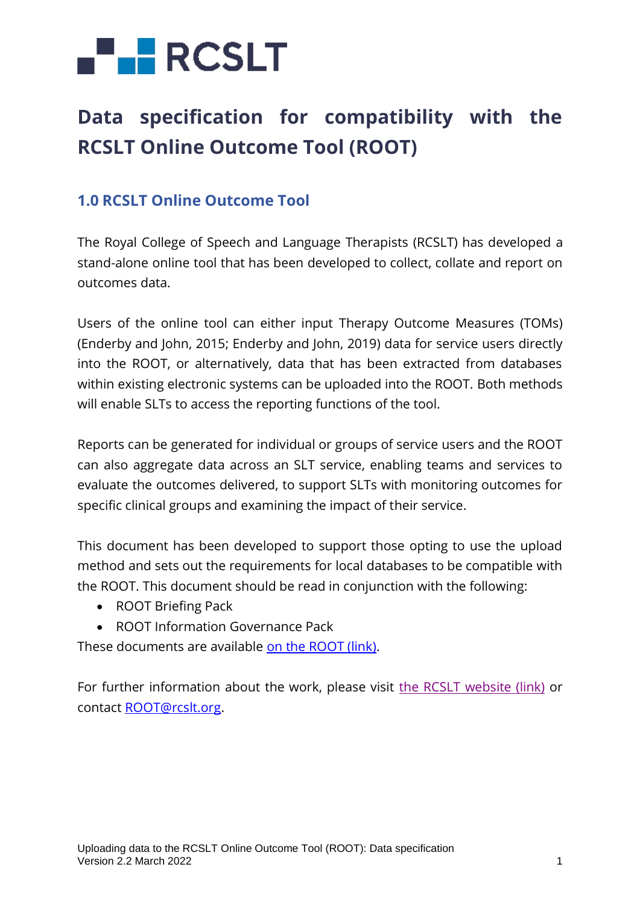# **FLERCSLT**

## **Data specification for compatibility with the RCSLT Online Outcome Tool (ROOT)**

## **1.0 RCSLT Online Outcome Tool**

The Royal College of Speech and Language Therapists (RCSLT) has developed a stand-alone online tool that has been developed to collect, collate and report on outcomes data.

Users of the online tool can either input Therapy Outcome Measures (TOMs) (Enderby and John, 2015; Enderby and John, 2019) data for service users directly into the ROOT, or alternatively, data that has been extracted from databases within existing electronic systems can be uploaded into the ROOT. Both methods will enable SLTs to access the reporting functions of the tool.

Reports can be generated for individual or groups of service users and the ROOT can also aggregate data across an SLT service, enabling teams and services to evaluate the outcomes delivered, to support SLTs with monitoring outcomes for specific clinical groups and examining the impact of their service.

This document has been developed to support those opting to use the upload method and sets out the requirements for local databases to be compatible with the ROOT. This document should be read in conjunction with the following:

- ROOT Briefing Pack
- ROOT Information Governance Pack

These documents are available [on the ROOT \(link\).](https://rcslt-root.org/Content/getting-ready-to-use-the-root)

For further information about the work, please visit [the RCSLT website \(link\)](https://www.rcslt.org/speech-and-language-therapy/guidance-for-delivering-slt-services/outcome-measurement/outcome-tool-overview/) or contact [ROOT@rcslt.org.](mailto:ROOT@rcslt.org)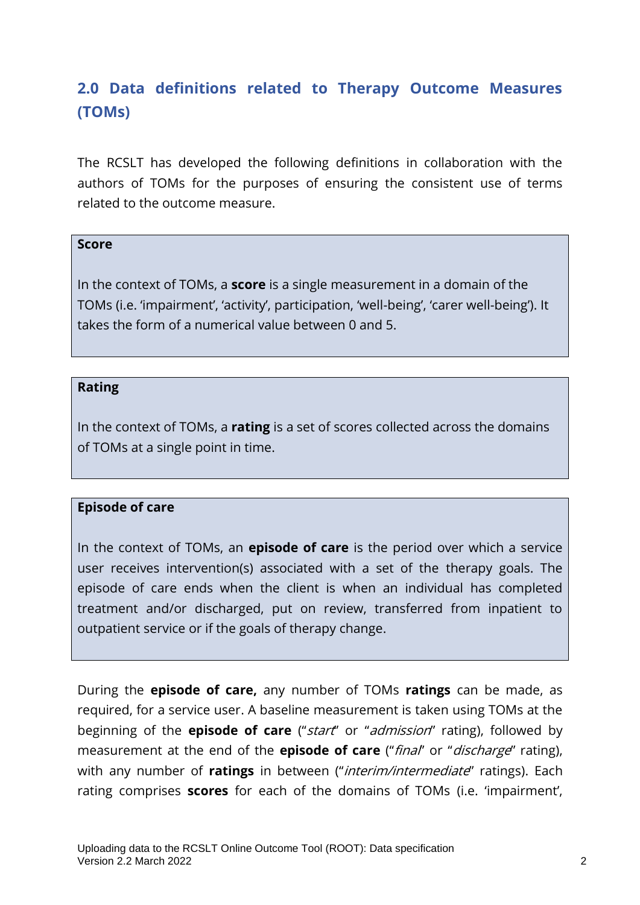## **2.0 Data definitions related to Therapy Outcome Measures (TOMs)**

The RCSLT has developed the following definitions in collaboration with the authors of TOMs for the purposes of ensuring the consistent use of terms related to the outcome measure.

#### **Score**

In the context of TOMs, a **score** is a single measurement in a domain of the TOMs (i.e. 'impairment', 'activity', participation, 'well-being', 'carer well-being'). It takes the form of a numerical value between 0 and 5.

#### **Rating**

In the context of TOMs, a **rating** is a set of scores collected across the domains of TOMs at a single point in time.

#### **Episode of care**

In the context of TOMs, an **episode of care** is the period over which a service user receives intervention(s) associated with a set of the therapy goals. The episode of care ends when the client is when an individual has completed treatment and/or discharged, put on review, transferred from inpatient to outpatient service or if the goals of therapy change.

During the **episode of care,** any number of TOMs **ratings** can be made, as required, for a service user. A baseline measurement is taken using TOMs at the beginning of the **episode of care** ("start" or "admission" rating), followed by measurement at the end of the **episode of care** ("final" or "discharge" rating), with any number of **ratings** in between ("interim/intermediate" ratings). Each rating comprises **scores** for each of the domains of TOMs (i.e. 'impairment',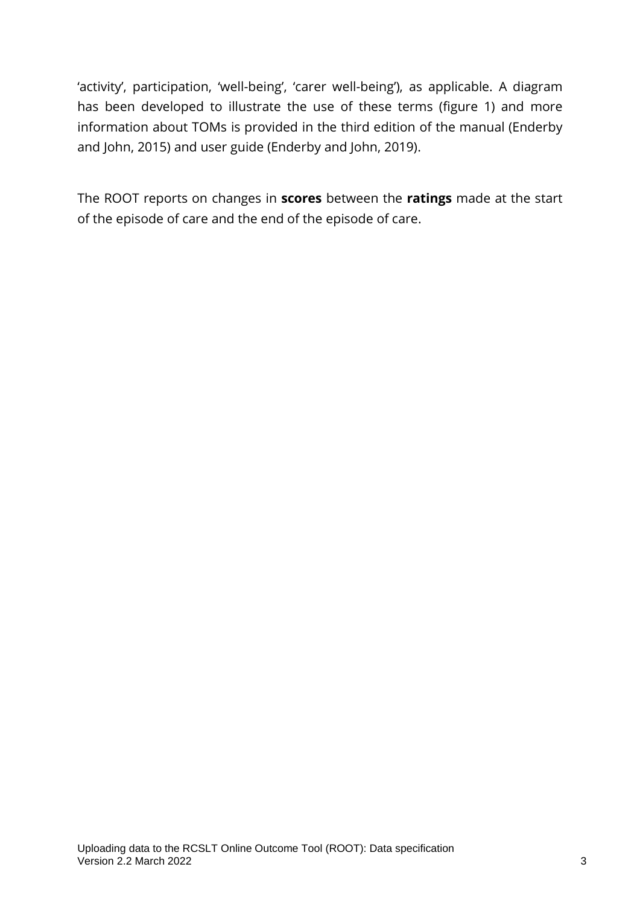'activity', participation, 'well-being', 'carer well-being'), as applicable. A diagram has been developed to illustrate the use of these terms (figure 1) and more information about TOMs is provided in the third edition of the manual (Enderby and John, 2015) and user guide (Enderby and John, 2019).

The ROOT reports on changes in **scores** between the **ratings** made at the start of the episode of care and the end of the episode of care.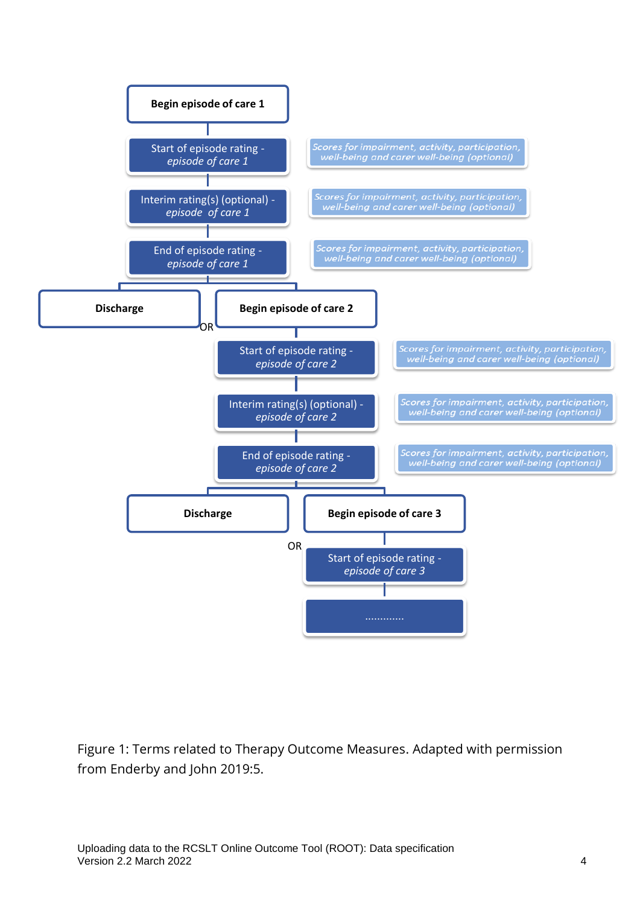

Figure 1: Terms related to Therapy Outcome Measures. Adapted with permission from Enderby and John 2019:5.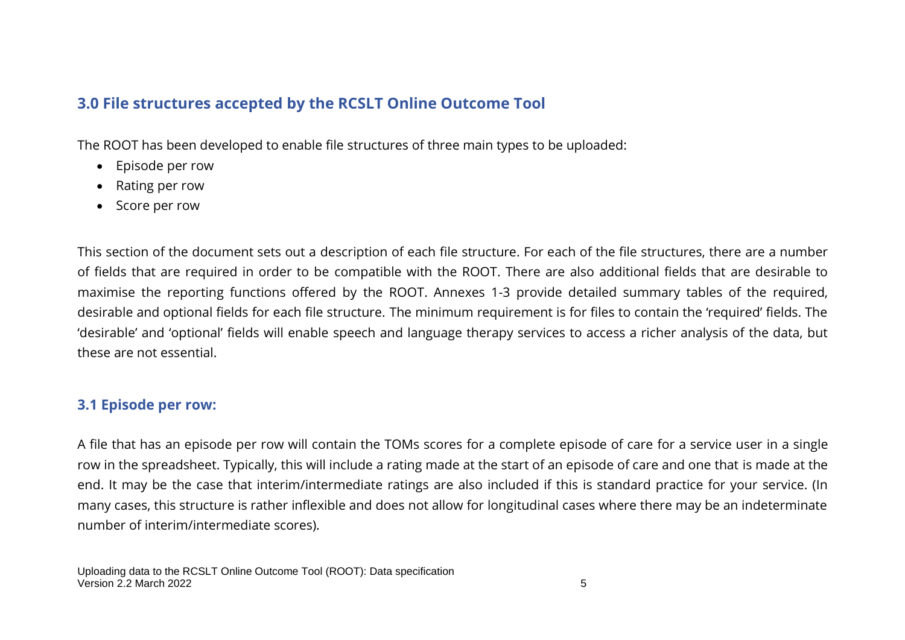## **3.0 File structures accepted by the RCSLT Online Outcome Tool**

The ROOT has been developed to enable file structures of three main types to be uploaded:

- Episode per row
- Rating per row
- Score per row

This section of the document sets out a description of each file structure. For each of the file structures, there are a number of fields that are required in order to be compatible with the ROOT. There are also additional fields that are desirable to maximise the reporting functions offered by the ROOT. Annexes 1-3 provide detailed summary tables of the required, desirable and optional fields for each file structure. The minimum requirement is for files to contain the 'required' fields. The 'desirable' and 'optional' fields will enable speech and language therapy services to access a richer analysis of the data, but these are not essential.

## **3.1 Episode per row:**

A file that has an episode per row will contain the TOMs scores for a complete episode of care for a service user in a single row in the spreadsheet. Typically, this will include a rating made at the start of an episode of care and one that is made at the end. It may be the case that interim/intermediate ratings are also included if this is standard practice for your service. (In many cases, this structure is rather inflexible and does not allow for longitudinal cases where there may be an indeterminate number of interim/intermediate scores).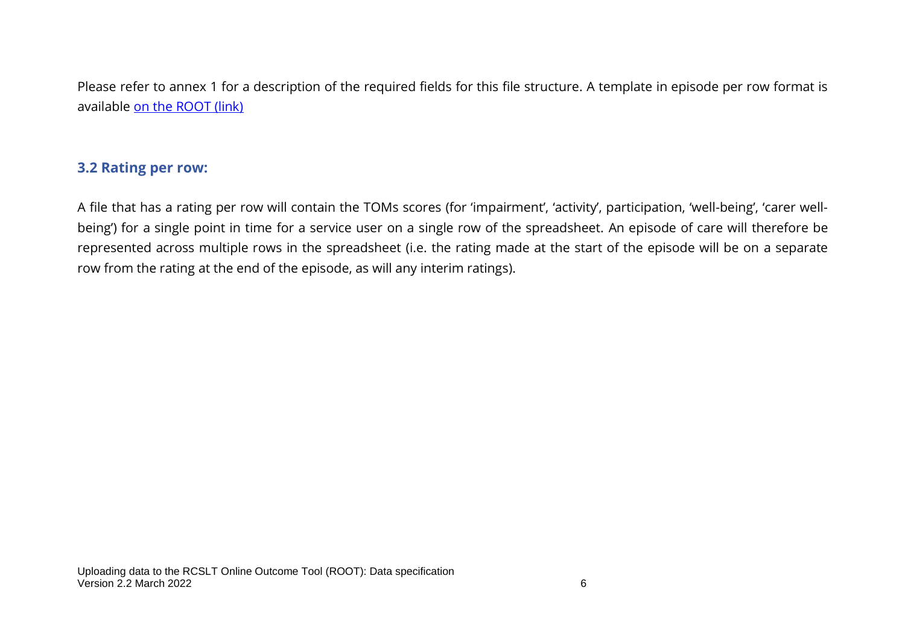Please refer to annex 1 for a description of the required fields for this file structure. A template in episode per row format is available [on the ROOT \(link\)](https://rcslt-root.org/Files/Documents/ROOT%20template%20-%20episode%20per%20row.xlsx)

## **3.2 Rating per row:**

A file that has a rating per row will contain the TOMs scores (for 'impairment', 'activity', participation, 'well-being', 'carer wellbeing') for a single point in time for a service user on a single row of the spreadsheet. An episode of care will therefore be represented across multiple rows in the spreadsheet (i.e. the rating made at the start of the episode will be on a separate row from the rating at the end of the episode, as will any interim ratings).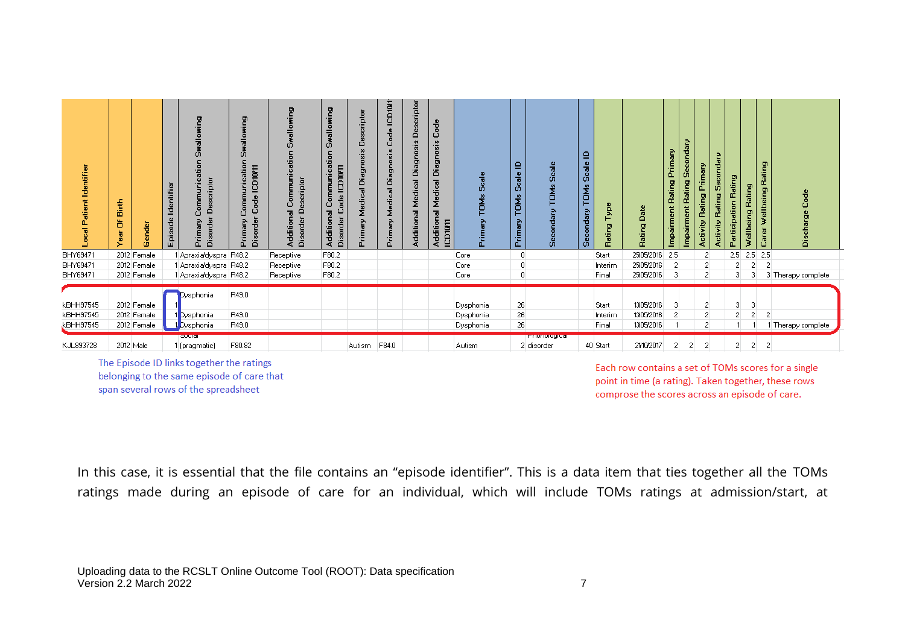| ocal Patient Identifier                    | Birth<br>ă<br>ender<br>Year<br>œ.         | 늅<br>Identifi<br>sode<br>Ë | g<br>ن<br>Descriptor<br>Ŝ<br>Ę<br>Primary<br>Disorder | 몬<br>$\bullet$<br>등<br>m<br>ᅙ<br><b>ICD10/11</b><br>cati<br>۰<br>ப<br>Primary<br>ᄒ<br>sor<br>ä | g<br>Ē<br>흏<br><u>a</u><br>E<br>ē<br>с<br>≏<br>Additional<br>isorder<br>ä | 몬<br>allowi<br>å<br>Communication<br><b>ICD10/11</b><br>g<br>Additional<br>⊔<br>Disorder | scriptor<br>ω<br>ā<br>$\boldsymbol{\omega}$<br>iso<br>ğ<br>ä<br>ē<br>÷<br>rimary | <b>ICD1071</b><br>ğ<br>с<br>흉<br>ä<br>굯<br>r.<br>۰<br>ż<br>Prima | scriptor<br>ă<br>sis<br>g<br>ä<br>Medical<br><b>Tel</b><br>Additio | Code<br>Diagnosis<br>Medical<br>Additional<br><b>ICD10V11</b> | Scal<br><b>SPAC</b><br>Primar       | $\mathbf{r}$<br>Scale<br>TOMs<br>Primary | cale<br>ū<br><b>TOMs</b><br>m      | ≘<br>$\mathbf{v}$<br>Scal<br>TOMs<br>econdary<br>m | Б.<br>Rating              | Date<br>모<br>Ratii                     | Primary<br>Rating<br>Impairment | econdary<br>Rating<br>Impairment | Primary<br>Rating<br><b>Activity</b> | econdary<br>Rating<br>Activity | Rating<br>Rating<br>g<br>Participati<br>몬<br>Ŧ.<br>흛 | Rating<br>몬<br>Wellbe<br>Ω | δ                  |
|--------------------------------------------|-------------------------------------------|----------------------------|-------------------------------------------------------|------------------------------------------------------------------------------------------------|---------------------------------------------------------------------------|------------------------------------------------------------------------------------------|----------------------------------------------------------------------------------|------------------------------------------------------------------|--------------------------------------------------------------------|---------------------------------------------------------------|-------------------------------------|------------------------------------------|------------------------------------|----------------------------------------------------|---------------------------|----------------------------------------|---------------------------------|----------------------------------|--------------------------------------|--------------------------------|------------------------------------------------------|----------------------------|--------------------|
| BHY69471                                   | 2012 Female                               |                            | 1 Apraxialdyspra                                      | R48.2                                                                                          | Receptive                                                                 | F80.2                                                                                    |                                                                                  |                                                                  |                                                                    |                                                               | Core                                | $\overline{0}$                           |                                    |                                                    | Start                     | 25/05/2016                             | 2.5                             |                                  | $\overline{2}$                       |                                | 2.5                                                  | $2.5$ 2.5                  |                    |
| BHY69471                                   | 2012 Female                               |                            | 1 Apraxia dyspra R48.2                                |                                                                                                | Receptive                                                                 | F80.2                                                                                    |                                                                                  |                                                                  |                                                                    |                                                               | Core                                | $\overline{0}$                           |                                    |                                                    | Interim                   | 25/05/2016                             |                                 |                                  | $\overline{2}$                       |                                | 2                                                    | -2<br>2                    |                    |
| BHY69471                                   | 2012 Female                               |                            | 1 Apraxialdyspra   R48.2                              |                                                                                                | Receptive                                                                 | F80.2                                                                                    |                                                                                  |                                                                  |                                                                    |                                                               | Core                                | 0                                        |                                    |                                                    | Final                     | 25/05/2016                             |                                 |                                  | $\overline{2}$                       |                                | 3                                                    | 3                          | 3 Therapy complete |
| kBHH97545<br>kBHH97545<br><b>kBHH97545</b> | 2012 Female<br>2012 Female<br>2012 Female |                            | Dysphonia<br>1 Dysphonia<br>1 Dysphonia               | R49.0<br>R49.0<br>R49.0                                                                        |                                                                           |                                                                                          |                                                                                  |                                                                  |                                                                    |                                                               | Dysphonia<br>Dysphonia<br>Dysphonia | 26<br>26<br>26                           |                                    |                                                    | Start<br>Interim<br>Final | 13/05/2016<br>13/05/2016<br>13/05/2016 |                                 |                                  | о<br>2<br>2                          |                                | 3<br>2                                               | 3<br>-2<br>2               | Therapy complete   |
| KJL893728                                  | 2012 Male                                 |                            | oucial<br>1 (pragmatic)                               | F80.82                                                                                         |                                                                           |                                                                                          | Autism                                                                           | F84.0                                                            |                                                                    |                                                               | Autism                              |                                          | <u>mnonorogica</u> r<br>2 disorder |                                                    | 40 Start                  | 21/10/2017                             |                                 |                                  | 2                                    |                                | 2                                                    | 2<br>$\overline{c}$        |                    |

The Episode ID links together the ratings belonging to the same episode of care that span several rows of the spreadsheet

Each row contains a set of TOMs scores for a single point in time (a rating). Taken together, these rows comprose the scores across an episode of care.

In this case, it is essential that the file contains an "episode identifier". This is a data item that ties together all the TOMs ratings made during an episode of care for an individual, which will include TOMs ratings at admission/start, at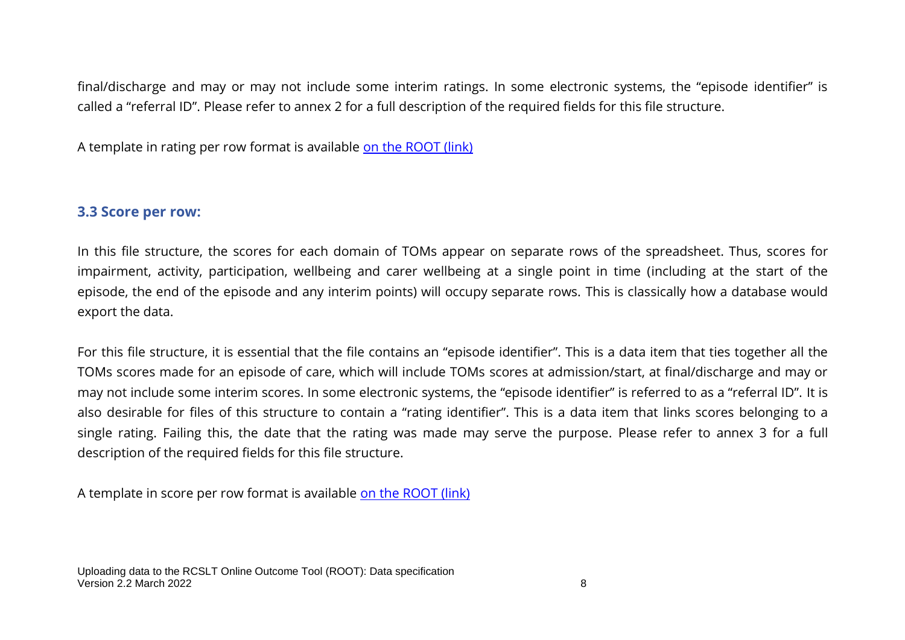final/discharge and may or may not include some interim ratings. In some electronic systems, the "episode identifier" is called a "referral ID". Please refer to annex 2 for a full description of the required fields for this file structure.

A template in rating per row format is available [on the ROOT \(link\)](https://rcslt-root.org/Files/Documents/ROOT%20template%20-%20rating%20per%20row.xlsx)

#### **3.3 Score per row:**

In this file structure, the scores for each domain of TOMs appear on separate rows of the spreadsheet. Thus, scores for impairment, activity, participation, wellbeing and carer wellbeing at a single point in time (including at the start of the episode, the end of the episode and any interim points) will occupy separate rows. This is classically how a database would export the data.

For this file structure, it is essential that the file contains an "episode identifier". This is a data item that ties together all the TOMs scores made for an episode of care, which will include TOMs scores at admission/start, at final/discharge and may or may not include some interim scores. In some electronic systems, the "episode identifier" is referred to as a "referral ID". It is also desirable for files of this structure to contain a "rating identifier". This is a data item that links scores belonging to a single rating. Failing this, the date that the rating was made may serve the purpose. Please refer to annex 3 for a full description of the required fields for this file structure.

A template in score per row format is available [on the ROOT \(link\)](https://rcslt-root.org/Files/Documents/ROOT%20template%20-%20score%20per%20row.xlsx)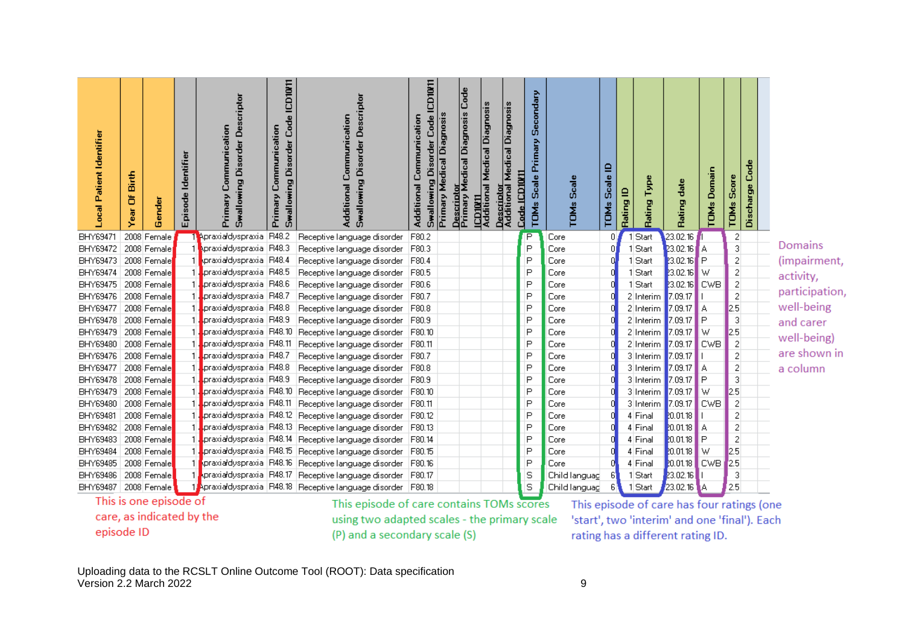| Local Patient Identifier | Birth<br>ð<br>ā | Gender      | Episode Identifier | criptor<br><b>Swallowing Disorder Des</b><br>Primary Communication | <b>ICD10/11</b><br><b>Swallowing Disorder Code</b><br>Communication<br>Primary | <b>Swallowing Disorder Descriptor</b><br>Additional Communication | Swallowing Disorder Code ICD10/11<br>Primary Medical Diagnosis<br>Additional Communication | Code<br>Descriptor<br>Primary Medical Diagnosis | Diagnosis<br>ICD10/11<br>Additional Medical Diagnosis<br>Descriptor<br>Additional Medical | Secondary<br>Primary<br>Code ICD10/11<br>Scale<br>TOM <sub>s</sub> | Scale<br>TOM <sub>s</sub> | ≘<br>Scale<br><b>TDMs</b> | Type<br>Rating ID<br>Rating | date<br>Rating | <b>TOMs Domain</b> | Score<br>TOMs           | Code<br>Discharge |                |
|--------------------------|-----------------|-------------|--------------------|--------------------------------------------------------------------|--------------------------------------------------------------------------------|-------------------------------------------------------------------|--------------------------------------------------------------------------------------------|-------------------------------------------------|-------------------------------------------------------------------------------------------|--------------------------------------------------------------------|---------------------------|---------------------------|-----------------------------|----------------|--------------------|-------------------------|-------------------|----------------|
| BHY69471                 |                 | 2008 Female |                    | 1 Apraxia dyspraxia                                                | R48.2                                                                          | Receptive language disorder                                       | F80.2                                                                                      |                                                 |                                                                                           | P                                                                  | Core                      | θ.                        | Start                       | 23.02.16       |                    | 2                       |                   |                |
| BHY69472                 |                 | 2008 Female |                    | 1 Apraxia dyspraxia R48.3                                          |                                                                                | Receptive language disorder                                       | F80.3                                                                                      |                                                 |                                                                                           | P                                                                  | Core                      |                           | 1 Start                     | 23.02.16       | ľΑ                 | 3                       |                   | Domains        |
| BHY69473                 |                 | 2008 Female |                    | kpraxialdyspraxia R48.4                                            |                                                                                | Receptive language disorder                                       | F80.4                                                                                      |                                                 |                                                                                           | P                                                                  | Core                      |                           | 1 Start                     | 23.02.16       | ΙP                 | $\overline{\mathbf{c}}$ |                   | (impairment,   |
| BHY69474                 |                 | 2008 Female |                    | praxia dyspraxia R48.5                                             |                                                                                | Receptive language disorder                                       | F80.5                                                                                      |                                                 |                                                                                           | P                                                                  | Core                      |                           | 1 Start                     | 23.02.16       | W                  | $\overline{c}$          |                   | activity,      |
| BHY69475                 |                 | 2008 Female |                    | praxia dyspraxia   R48.6                                           |                                                                                | Receptive language disorder                                       | F80.6                                                                                      |                                                 |                                                                                           | P                                                                  | Core                      |                           | 1 Start                     | 23.02.16       | <b>CWB</b>         | $\overline{c}$          |                   | participation, |
| BHY69476                 |                 | 2008 Female |                    | praxia dyspraxia R48.7                                             |                                                                                | Receptive language disorder                                       | F80.7                                                                                      |                                                 |                                                                                           | P                                                                  | Core                      |                           | 2 Interim                   | 7.09.17        |                    | $\overline{c}$          |                   |                |
| <b>BHY69477</b>          |                 | 2008 Female |                    | praxia dyspraxia R48.8                                             |                                                                                | Receptive language disorder                                       | F80.8                                                                                      |                                                 |                                                                                           | P                                                                  | Core                      |                           | 2 Interim                   | 7.09.17        | А                  | 2.5                     |                   | well-being     |
| BHY69478                 |                 | 2008 Female |                    | 1 .praxialdyspraxia   R48.9                                        |                                                                                | Receptive language disorder                                       | F80.9                                                                                      |                                                 |                                                                                           | P                                                                  | Core                      |                           | 2 Interim                   | 7.09.17        | P                  | 3                       |                   | and carer      |
| BHY69479                 |                 | 2008 Female |                    | 1 .praxia dyspraxia R48.10                                         |                                                                                | Receptive language disorder                                       | F80.10                                                                                     |                                                 |                                                                                           | P                                                                  | Core                      |                           | 2 Interim                   | 7.09.17        | W                  | 2.5                     |                   | well-being)    |
| BHY69480                 |                 | 2008 Female |                    | 1 .praxialdyspraxia   R48.11                                       |                                                                                | Receptive language disorder                                       | F80.11                                                                                     |                                                 |                                                                                           | P                                                                  | Core                      |                           | 2 Interim                   | 7.09.17        | <b>CWB</b>         | 2                       |                   |                |
| BHY69476                 |                 | 2008 Female |                    | praxia dyspraxia R48.7                                             |                                                                                | Receptive language disorder                                       | F80.7                                                                                      |                                                 |                                                                                           | P                                                                  | Core                      |                           | 3 Interim                   | 7.09.17        |                    | $\overline{\mathbf{c}}$ |                   | are shown in   |
| <b>BHY69477</b>          |                 | 2008 Female |                    | praxialdyspraxia   R48.8.                                          |                                                                                | Receptive language disorder                                       | F80.8                                                                                      |                                                 |                                                                                           | P                                                                  | Core                      |                           | 3 Interim                   | 7.09.17        | А                  | $\overline{\mathbf{c}}$ |                   | a column       |
| BHY69478                 |                 | 2008 Female |                    | praxia dyspraxia R48.9                                             |                                                                                | Receptive language disorder                                       | F80.9                                                                                      |                                                 |                                                                                           | P                                                                  | Core                      |                           | 3 Interim                   | 7.09.17        | P                  | 3                       |                   |                |
| BHY69479                 |                 | 2008 Female |                    | praxia duspraxia   R48.10                                          |                                                                                | Receptive language disorder                                       | F80.10                                                                                     |                                                 |                                                                                           | P                                                                  | Core                      |                           | 3 Interim                   | 7.09.17        | W                  | 2.5                     |                   |                |
| BHY69480                 |                 | 2008 Female |                    | .praxia dyspraxia   R48.11                                         |                                                                                | Receptive language disorder                                       | F80.11                                                                                     |                                                 |                                                                                           | P                                                                  | Core                      |                           | 3 Interim                   | 7.09.17        | <b>CWB</b>         | $\overline{2}$          |                   |                |
| BHY69481                 |                 | 2008 Female |                    |                                                                    |                                                                                | 1 Praxia dyspraxia R48.12 Receptive language disorder             | F80.12                                                                                     |                                                 |                                                                                           | P                                                                  | Core                      |                           | 4 Final                     | 20.01.18       |                    | $\overline{c}$          |                   |                |
| BHY69482                 |                 | 2008 Female |                    |                                                                    |                                                                                | 1 .praxia dyspraxia R48.13 Receptive language disorder            | F80.13                                                                                     |                                                 |                                                                                           | P                                                                  | Core                      |                           | 4 Final                     | 20.01.18       | А                  | $\overline{\mathbf{c}}$ |                   |                |
| BHY69483                 |                 | 2008 Female |                    |                                                                    |                                                                                | praxia dyspraxia R48.14 Receptive language disorder               | F80.14                                                                                     |                                                 |                                                                                           | P                                                                  | Core                      |                           | 4 Final                     | 20.01.18       | P                  | $\overline{\mathbf{c}}$ |                   |                |
| <b>BHY69484</b>          |                 | 2008 Female |                    |                                                                    |                                                                                | praxia dyspraxia R48.15 Receptive language disorder               | F80.15                                                                                     |                                                 |                                                                                           | P                                                                  | Core                      |                           | 4 Final                     | 20.01.18       | w                  | 2.5                     |                   |                |
| BHY69485                 |                 | 2008 Female |                    |                                                                    |                                                                                | praxia dyspraxia   R48.16   Receptive language disorder           | F80.16                                                                                     |                                                 |                                                                                           | P                                                                  | Core                      |                           | 4 Final                     | 20.01.18       | <b>CWB</b>         | 2.5                     |                   |                |
| BHY69486                 |                 | 2008 Female |                    |                                                                    |                                                                                | praxia dyspraxia R48.17 Receptive language disorder               | F80.17                                                                                     |                                                 |                                                                                           | S                                                                  | Child languag             |                           | 1 Start                     | 23.02.16       |                    | 3                       |                   |                |
| BHY69487                 |                 | 2008 Female |                    |                                                                    |                                                                                | 1 Apraxia dyspraxia R48.18 Receptive language disorder            | F80.18                                                                                     |                                                 |                                                                                           | S                                                                  | Child languag             | 6                         | 1 Start                     | 23.02.16       | ÌΑ                 | 2.5                     |                   |                |

This is one episode of care, as indicated by the episode ID

This episode of care contains TOMs scores using two adapted scales - the primary scale (P) and a secondary scale (S)

This episode of care has four ratings (one 'start', two 'interim' and one 'final'). Each rating has a different rating ID.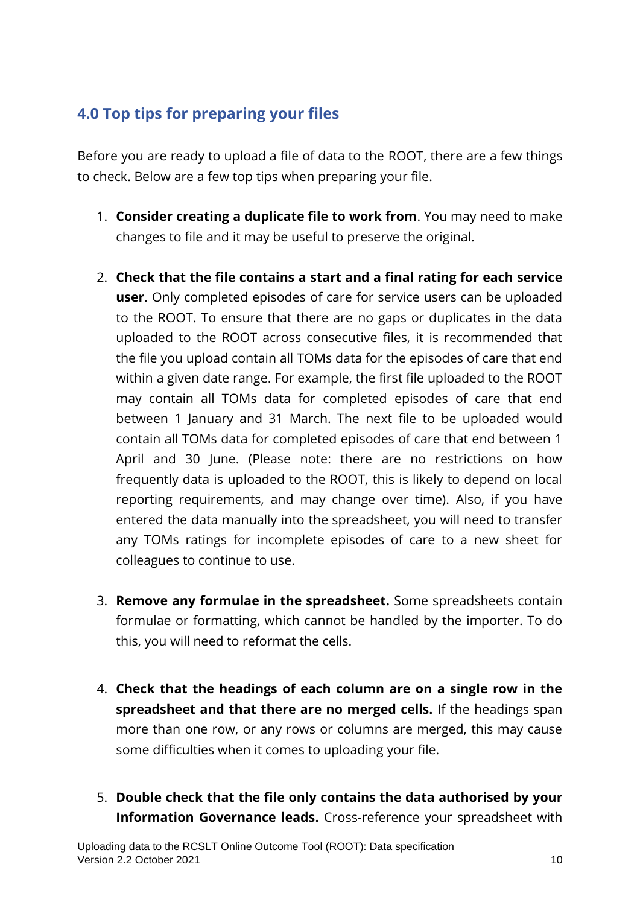## **4.0 Top tips for preparing your files**

Before you are ready to upload a file of data to the ROOT, there are a few things to check. Below are a few top tips when preparing your file.

- 1. **Consider creating a duplicate file to work from**. You may need to make changes to file and it may be useful to preserve the original.
- 2. **Check that the file contains a start and a final rating for each service user**. Only completed episodes of care for service users can be uploaded to the ROOT. To ensure that there are no gaps or duplicates in the data uploaded to the ROOT across consecutive files, it is recommended that the file you upload contain all TOMs data for the episodes of care that end within a given date range. For example, the first file uploaded to the ROOT may contain all TOMs data for completed episodes of care that end between 1 January and 31 March. The next file to be uploaded would contain all TOMs data for completed episodes of care that end between 1 April and 30 June. (Please note: there are no restrictions on how frequently data is uploaded to the ROOT, this is likely to depend on local reporting requirements, and may change over time). Also, if you have entered the data manually into the spreadsheet, you will need to transfer any TOMs ratings for incomplete episodes of care to a new sheet for colleagues to continue to use.
- 3. **Remove any formulae in the spreadsheet.** Some spreadsheets contain formulae or formatting, which cannot be handled by the importer. To do this, you will need to reformat the cells.
- 4. **Check that the headings of each column are on a single row in the spreadsheet and that there are no merged cells.** If the headings span more than one row, or any rows or columns are merged, this may cause some difficulties when it comes to uploading your file.
- 5. **Double check that the file only contains the data authorised by your Information Governance leads.** Cross-reference your spreadsheet with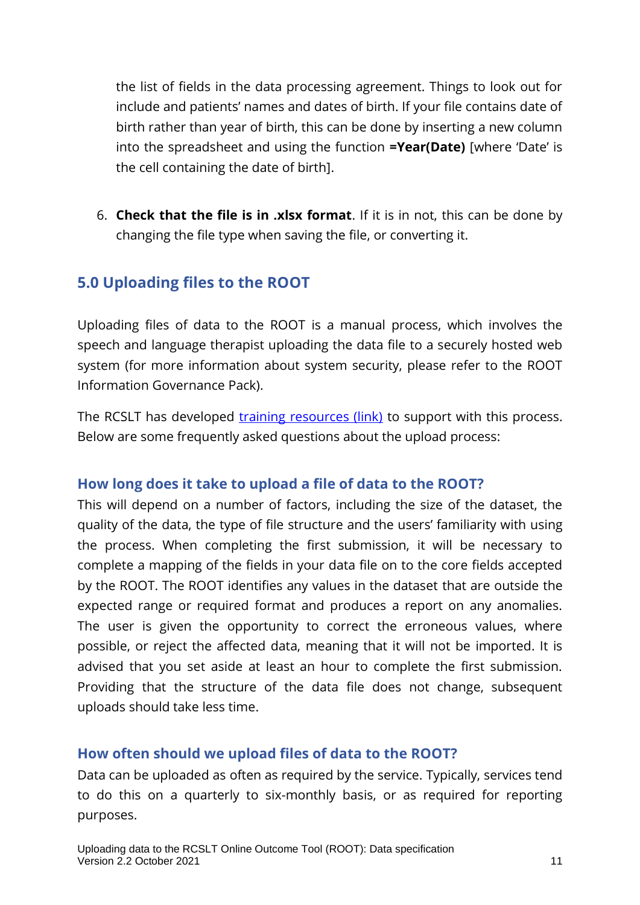the list of fields in the data processing agreement. Things to look out for include and patients' names and dates of birth. If your file contains date of birth rather than year of birth, this can be done by inserting a new column into the spreadsheet and using the function **=Year(Date)** [where 'Date' is the cell containing the date of birth].

6. **Check that the file is in .xlsx format**. If it is in not, this can be done by changing the file type when saving the file, or converting it.

## **5.0 Uploading files to the ROOT**

Uploading files of data to the ROOT is a manual process, which involves the speech and language therapist uploading the data file to a securely hosted web system (for more information about system security, please refer to the ROOT Information Governance Pack).

The RCSLT has developed [training resources \(link\)](https://rcslt-root.org/Content/root-training-resources) to support with this process. Below are some frequently asked questions about the upload process:

## **How long does it take to upload a file of data to the ROOT?**

This will depend on a number of factors, including the size of the dataset, the quality of the data, the type of file structure and the users' familiarity with using the process. When completing the first submission, it will be necessary to complete a mapping of the fields in your data file on to the core fields accepted by the ROOT. The ROOT identifies any values in the dataset that are outside the expected range or required format and produces a report on any anomalies. The user is given the opportunity to correct the erroneous values, where possible, or reject the affected data, meaning that it will not be imported. It is advised that you set aside at least an hour to complete the first submission. Providing that the structure of the data file does not change, subsequent uploads should take less time.

## **How often should we upload files of data to the ROOT?**

Data can be uploaded as often as required by the service. Typically, services tend to do this on a quarterly to six-monthly basis, or as required for reporting purposes.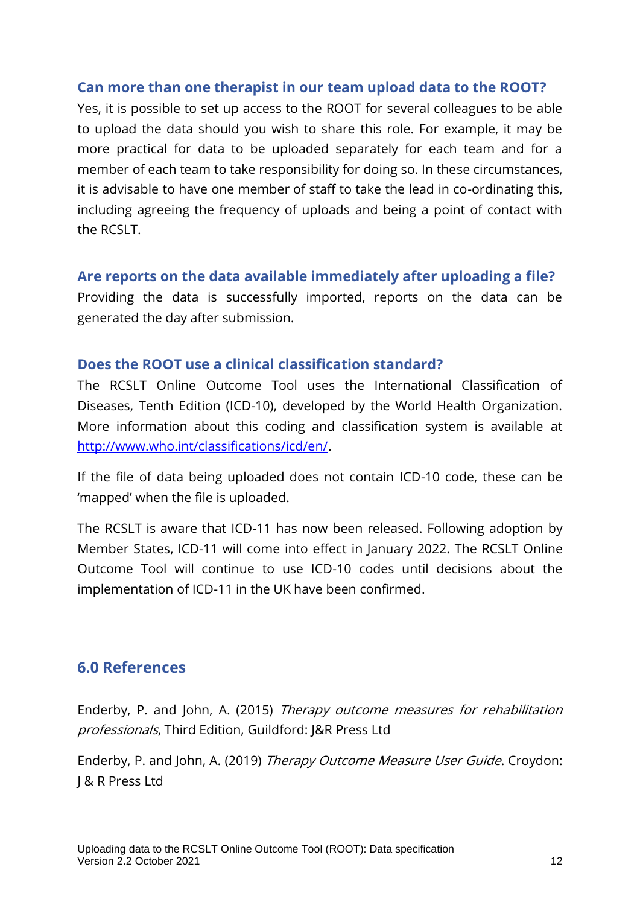#### **Can more than one therapist in our team upload data to the ROOT?**

Yes, it is possible to set up access to the ROOT for several colleagues to be able to upload the data should you wish to share this role. For example, it may be more practical for data to be uploaded separately for each team and for a member of each team to take responsibility for doing so. In these circumstances, it is advisable to have one member of staff to take the lead in co-ordinating this, including agreeing the frequency of uploads and being a point of contact with the RCSLT.

#### **Are reports on the data available immediately after uploading a file?**

Providing the data is successfully imported, reports on the data can be generated the day after submission.

#### **Does the ROOT use a clinical classification standard?**

The RCSLT Online Outcome Tool uses the International Classification of Diseases, Tenth Edition (ICD-10), developed by the World Health Organization. More information about this coding and classification system is available at [http://www.who.int/classifications/icd/en/.](http://www.who.int/classifications/icd/en/)

If the file of data being uploaded does not contain ICD-10 code, these can be 'mapped' when the file is uploaded.

The RCSLT is aware that ICD-11 has now been released. Following adoption by Member States, ICD-11 will come into effect in January 2022. The RCSLT Online Outcome Tool will continue to use ICD-10 codes until decisions about the implementation of ICD-11 in the UK have been confirmed.

#### **6.0 References**

Enderby, P. and John, A. (2015) Therapy outcome measures for rehabilitation professionals, Third Edition, Guildford: J&R Press Ltd

Enderby, P. and John, A. (2019) Therapy Outcome Measure User Guide. Croydon: J & R Press Ltd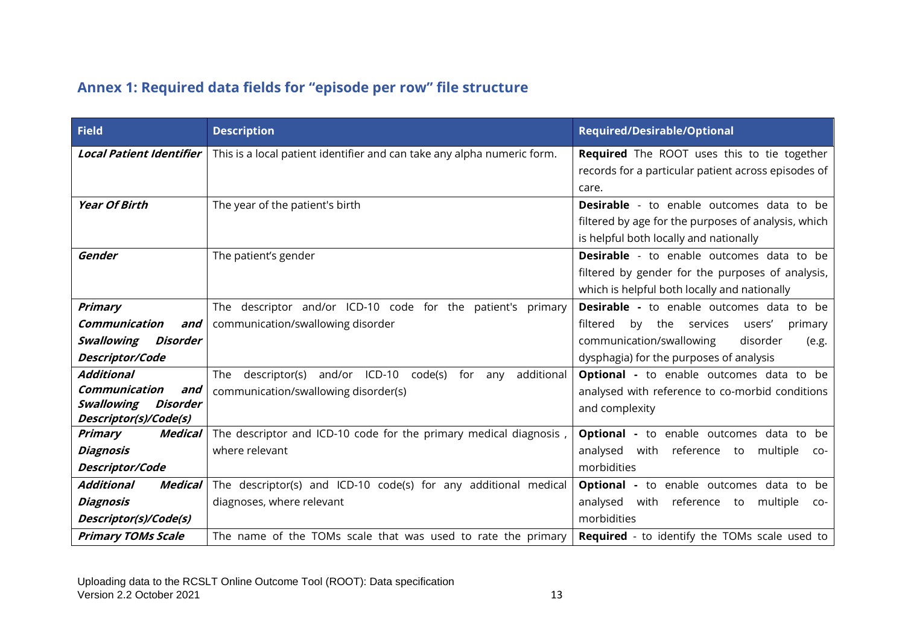## **Annex 1: Required data fields for "episode per row" file structure**

| <b>Field</b>                                    | <b>Description</b>                                                        | <b>Required/Desirable/Optional</b>                    |
|-------------------------------------------------|---------------------------------------------------------------------------|-------------------------------------------------------|
| <b>Local Patient Identifier</b>                 | This is a local patient identifier and can take any alpha numeric form.   | <b>Required</b> The ROOT uses this to tie together    |
|                                                 |                                                                           | records for a particular patient across episodes of   |
|                                                 |                                                                           | care.                                                 |
| <b>Year Of Birth</b>                            | The year of the patient's birth                                           | <b>Desirable</b> - to enable outcomes data to be      |
|                                                 |                                                                           | filtered by age for the purposes of analysis, which   |
|                                                 |                                                                           | is helpful both locally and nationally                |
| Gender                                          | The patient's gender                                                      | <b>Desirable</b> - to enable outcomes data to be      |
|                                                 |                                                                           | filtered by gender for the purposes of analysis,      |
|                                                 |                                                                           | which is helpful both locally and nationally          |
| Primary                                         | The descriptor and/or ICD-10 code for the patient's primary               | <b>Desirable -</b> to enable outcomes data to be      |
| <b>Communication</b><br>and                     | communication/swallowing disorder                                         | by<br>the services<br>filtered<br>users'<br>primary   |
| Swallowing<br>Disorder                          |                                                                           | communication/swallowing<br>disorder<br>(e.g.         |
| Descriptor/Code                                 |                                                                           | dysphagia) for the purposes of analysis               |
| <b>Additional</b>                               | descriptor(s) and/or ICD-10<br>additional<br>code(s)<br>for<br>The<br>any | <b>Optional</b> - to enable outcomes data to be       |
| Communication<br>and                            | communication/swallowing disorder(s)                                      | analysed with reference to co-morbid conditions       |
| Swallowing<br>Disorder<br>Descriptor(s)/Code(s) |                                                                           | and complexity                                        |
| <b>Medical</b><br><b>Primary</b>                | The descriptor and ICD-10 code for the primary medical diagnosis,         | <b>Optional</b> - to enable outcomes data to be       |
| <b>Diagnosis</b>                                | where relevant                                                            | with reference<br>analysed<br>multiple<br>to<br>$CO-$ |
| Descriptor/Code                                 |                                                                           | morbidities                                           |
| <b>Medical</b><br>Additional                    | The descriptor(s) and ICD-10 code(s) for any additional medical           | <b>Optional</b> - to enable outcomes data to be       |
| <b>Diagnosis</b>                                | diagnoses, where relevant                                                 | analysed with reference to<br>multiple<br>$CO-$       |
| Descriptor(s)/Code(s)                           |                                                                           | morbidities                                           |
| <b>Primary TOMs Scale</b>                       | The name of the TOMs scale that was used to rate the primary              | <b>Required</b> - to identify the TOMs scale used to  |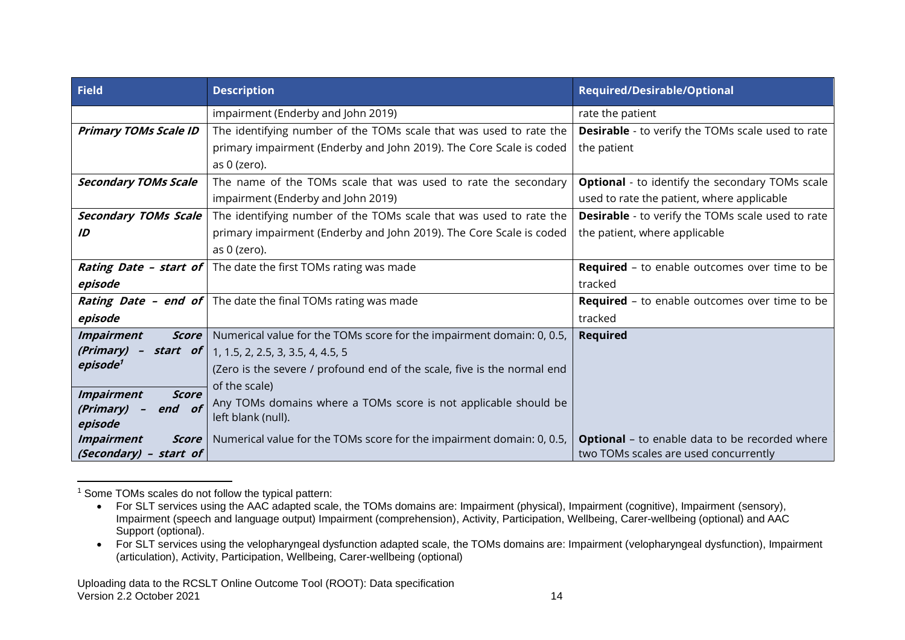| <b>Field</b>                      | <b>Description</b>                                                                | <b>Required/Desirable/Optional</b>                       |
|-----------------------------------|-----------------------------------------------------------------------------------|----------------------------------------------------------|
|                                   | impairment (Enderby and John 2019)                                                | rate the patient                                         |
| <b>Primary TOMs Scale ID</b>      | The identifying number of the TOMs scale that was used to rate the                | <b>Desirable</b> - to verify the TOMs scale used to rate |
|                                   | primary impairment (Enderby and John 2019). The Core Scale is coded               | the patient                                              |
|                                   | as 0 (zero).                                                                      |                                                          |
| <b>Secondary TOMs Scale</b>       | The name of the TOMs scale that was used to rate the secondary                    | <b>Optional</b> - to identify the secondary TOMs scale   |
|                                   | impairment (Enderby and John 2019)                                                | used to rate the patient, where applicable               |
| <b>Secondary TOMs Scale</b>       | The identifying number of the TOMs scale that was used to rate the                | <b>Desirable</b> - to verify the TOMs scale used to rate |
| ID                                | primary impairment (Enderby and John 2019). The Core Scale is coded               | the patient, where applicable                            |
|                                   | as 0 (zero).                                                                      |                                                          |
|                                   | <b>Rating Date - start of</b> The date the first TOMs rating was made             | <b>Required</b> - to enable outcomes over time to be     |
| episode                           |                                                                                   | tracked                                                  |
|                                   | <b>Rating Date - end of</b> The date the final TOMs rating was made               | <b>Required</b> - to enable outcomes over time to be     |
| episode                           |                                                                                   | tracked                                                  |
| <b>Impairment</b><br>Score        | Numerical value for the TOMs score for the impairment domain: 0, 0.5,             | <b>Required</b>                                          |
| (Primary)                         | <b>start</b> of $\begin{bmatrix} 1, 1.5, 2, 2.5, 3, 3.5, 4, 4.5, 5 \end{bmatrix}$ |                                                          |
| episode <sup>1</sup>              | (Zero is the severe / profound end of the scale, five is the normal end           |                                                          |
| <b>Impairment</b><br><b>Score</b> | of the scale)                                                                     |                                                          |
| end of<br>(Primary)               | Any TOMs domains where a TOMs score is not applicable should be                   |                                                          |
| episode                           | left blank (null).                                                                |                                                          |
| <b>Impairment</b><br><b>Score</b> | Numerical value for the TOMs score for the impairment domain: 0, 0.5,             | <b>Optional</b> - to enable data to be recorded where    |
| (Secondary) - start of            |                                                                                   | two TOMs scales are used concurrently                    |

<sup>1</sup> Some TOMs scales do not follow the typical pattern:

<sup>•</sup> For SLT services using the AAC adapted scale, the TOMs domains are: Impairment (physical), Impairment (cognitive), Impairment (sensory), Impairment (speech and language output) Impairment (comprehension), Activity, Participation, Wellbeing, Carer-wellbeing (optional) and AAC Support (optional).

<sup>•</sup> For SLT services using the velopharyngeal dysfunction adapted scale, the TOMs domains are: Impairment (velopharyngeal dysfunction), Impairment (articulation), Activity, Participation, Wellbeing, Carer-wellbeing (optional)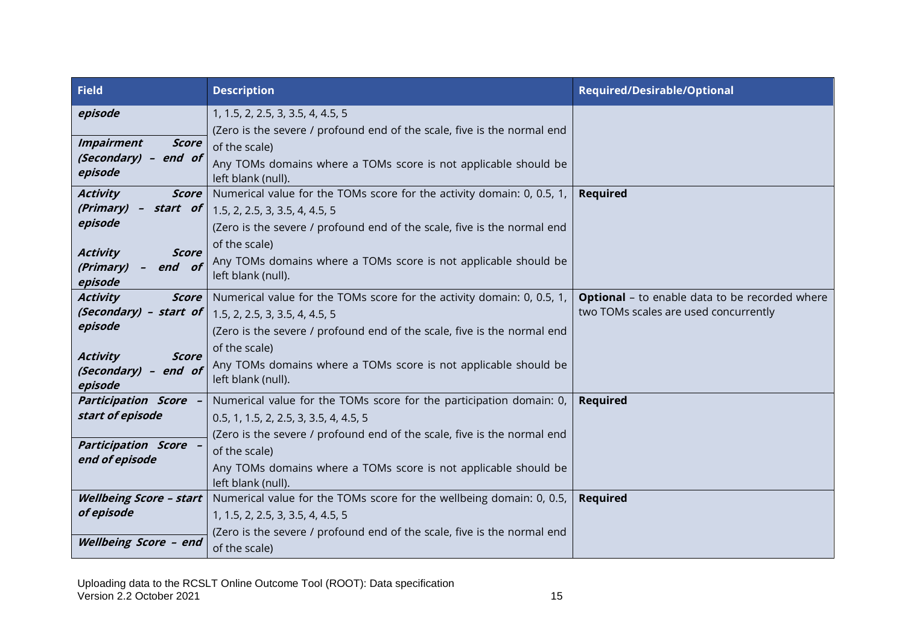| <b>Field</b>                                           | <b>Description</b>                                                      | <b>Required/Desirable/Optional</b>                    |
|--------------------------------------------------------|-------------------------------------------------------------------------|-------------------------------------------------------|
| episode                                                | 1, 1.5, 2, 2.5, 3, 3.5, 4, 4.5, 5                                       |                                                       |
|                                                        | (Zero is the severe / profound end of the scale, five is the normal end |                                                       |
| <b>Impairment</b><br><b>Score</b>                      | of the scale)                                                           |                                                       |
| (Secondary) - end of                                   | Any TOMs domains where a TOMs score is not applicable should be         |                                                       |
| episode                                                | left blank (null).                                                      |                                                       |
| <b>Activity</b><br><b>Score</b>                        | Numerical value for the TOMs score for the activity domain: 0, 0.5, 1,  | <b>Required</b>                                       |
| (Primary)<br>$\overline{\phantom{m}}$                  | <b>start</b> of $\vert$ 1.5, 2, 2.5, 3, 3.5, 4, 4.5, 5                  |                                                       |
| episode                                                | (Zero is the severe / profound end of the scale, five is the normal end |                                                       |
|                                                        | of the scale)                                                           |                                                       |
| <b>Activity</b><br><b>Score</b><br>(Primary)<br>end of | Any TOMs domains where a TOMs score is not applicable should be         |                                                       |
| episode                                                | left blank (null).                                                      |                                                       |
| <b>Activity</b><br><b>Score</b>                        | Numerical value for the TOMs score for the activity domain: 0, 0.5, 1,  | <b>Optional</b> - to enable data to be recorded where |
| (Secondary) - start of                                 | 1.5, 2, 2.5, 3, 3.5, 4, 4.5, 5                                          | two TOMs scales are used concurrently                 |
| episode                                                | (Zero is the severe / profound end of the scale, five is the normal end |                                                       |
| <b>Score</b>                                           | of the scale)                                                           |                                                       |
| <b>Activity</b><br>(Secondary) - end of                | Any TOMs domains where a TOMs score is not applicable should be         |                                                       |
| episode                                                | left blank (null).                                                      |                                                       |
| <b>Participation Score -</b>                           | Numerical value for the TOMs score for the participation domain: 0,     | <b>Required</b>                                       |
| start of episode                                       | 0.5, 1, 1.5, 2, 2.5, 3, 3.5, 4, 4.5, 5                                  |                                                       |
|                                                        | (Zero is the severe / profound end of the scale, five is the normal end |                                                       |
| <b>Participation Score -</b>                           | of the scale)                                                           |                                                       |
| end of episode                                         | Any TOMs domains where a TOMs score is not applicable should be         |                                                       |
|                                                        | left blank (null).                                                      |                                                       |
| <b>Wellbeing Score - start</b>                         | Numerical value for the TOMs score for the wellbeing domain: 0, 0.5,    | <b>Required</b>                                       |
| of episode                                             | 1, 1.5, 2, 2.5, 3, 3.5, 4, 4.5, 5                                       |                                                       |
|                                                        | (Zero is the severe / profound end of the scale, five is the normal end |                                                       |
| Wellbeing Score - end                                  | of the scale)                                                           |                                                       |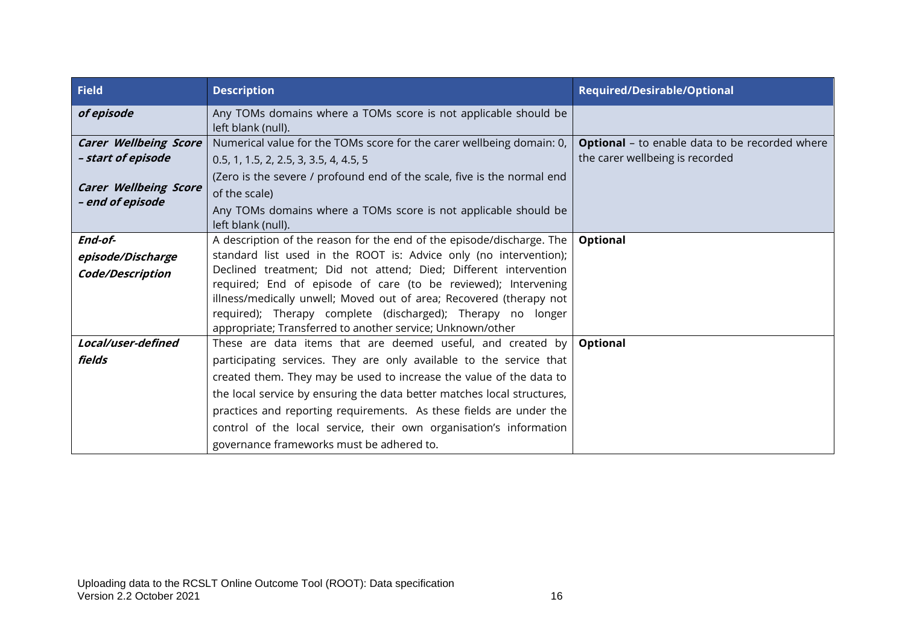| <b>Field</b>                                                                       | <b>Description</b>                                                                                                                                                                                                                                                                                                                                                                                                                                                                   | <b>Required/Desirable/Optional</b>                                                       |
|------------------------------------------------------------------------------------|--------------------------------------------------------------------------------------------------------------------------------------------------------------------------------------------------------------------------------------------------------------------------------------------------------------------------------------------------------------------------------------------------------------------------------------------------------------------------------------|------------------------------------------------------------------------------------------|
| of episode                                                                         | Any TOMs domains where a TOMs score is not applicable should be<br>left blank (null).                                                                                                                                                                                                                                                                                                                                                                                                |                                                                                          |
| <b>Carer Wellbeing Score</b><br>- start of episode<br><b>Carer Wellbeing Score</b> | Numerical value for the TOMs score for the carer wellbeing domain: 0,<br>0.5, 1, 1.5, 2, 2.5, 3, 3.5, 4, 4.5, 5<br>(Zero is the severe / profound end of the scale, five is the normal end<br>of the scale)                                                                                                                                                                                                                                                                          | <b>Optional</b> - to enable data to be recorded where<br>the carer wellbeing is recorded |
| - end of episode                                                                   | Any TOMs domains where a TOMs score is not applicable should be<br>left blank (null).                                                                                                                                                                                                                                                                                                                                                                                                |                                                                                          |
| End-of-<br>episode/Discharge<br>Code/Description                                   | A description of the reason for the end of the episode/discharge. The<br>standard list used in the ROOT is: Advice only (no intervention);<br>Declined treatment; Did not attend; Died; Different intervention<br>required; End of episode of care (to be reviewed); Intervening<br>illness/medically unwell; Moved out of area; Recovered (therapy not<br>required); Therapy complete (discharged); Therapy no longer<br>appropriate; Transferred to another service; Unknown/other | Optional                                                                                 |
| Local/user-defined<br>fields                                                       | These are data items that are deemed useful, and created by<br>participating services. They are only available to the service that<br>created them. They may be used to increase the value of the data to<br>the local service by ensuring the data better matches local structures,<br>practices and reporting requirements. As these fields are under the<br>control of the local service, their own organisation's information<br>governance frameworks must be adhered to.       | Optional                                                                                 |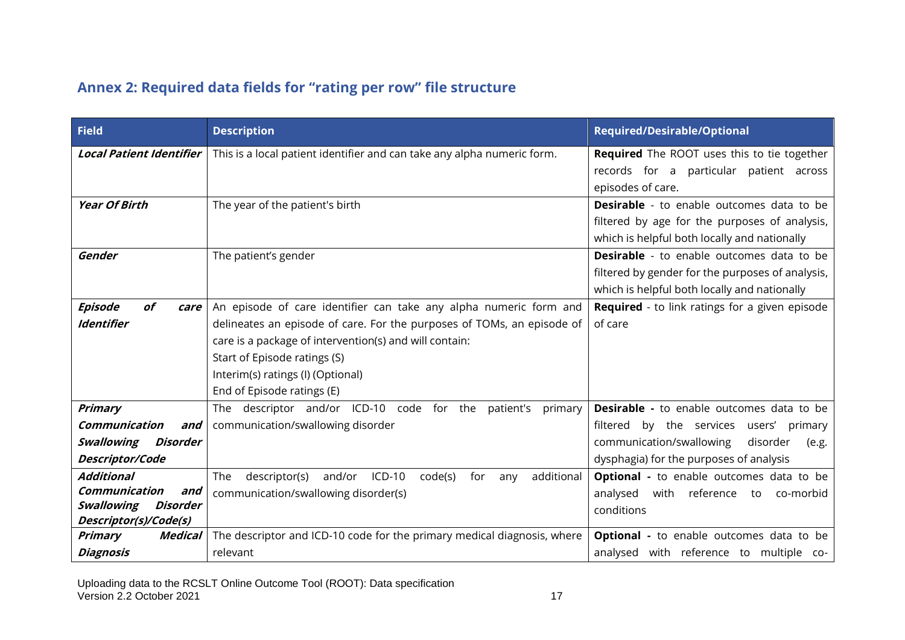## **Annex 2: Required data fields for "rating per row" file structure**

| <b>Field</b>                                                                                               | <b>Description</b>                                                                                                                                                                                                                                                                                       | <b>Required/Desirable/Optional</b>                                                                                                                   |
|------------------------------------------------------------------------------------------------------------|----------------------------------------------------------------------------------------------------------------------------------------------------------------------------------------------------------------------------------------------------------------------------------------------------------|------------------------------------------------------------------------------------------------------------------------------------------------------|
| <b>Local Patient Identifier</b>                                                                            | This is a local patient identifier and can take any alpha numeric form.                                                                                                                                                                                                                                  | Required The ROOT uses this to tie together<br>records for a particular patient across<br>episodes of care.                                          |
| <b>Year Of Birth</b>                                                                                       | The year of the patient's birth                                                                                                                                                                                                                                                                          | <b>Desirable</b> - to enable outcomes data to be<br>filtered by age for the purposes of analysis,<br>which is helpful both locally and nationally    |
| Gender                                                                                                     | The patient's gender                                                                                                                                                                                                                                                                                     | <b>Desirable</b> - to enable outcomes data to be<br>filtered by gender for the purposes of analysis,<br>which is helpful both locally and nationally |
| <b>Episode</b><br>of<br>care<br><b>Identifier</b>                                                          | An episode of care identifier can take any alpha numeric form and<br>delineates an episode of care. For the purposes of TOMs, an episode of<br>care is a package of intervention(s) and will contain:<br>Start of Episode ratings (S)<br>Interim(s) ratings (I) (Optional)<br>End of Episode ratings (E) | Required - to link ratings for a given episode<br>of care                                                                                            |
| Primary<br>Communication<br>and                                                                            | The descriptor and/or ICD-10 code for the<br>patient's<br>primary<br>communication/swallowing disorder                                                                                                                                                                                                   | <b>Desirable -</b> to enable outcomes data to be<br>filtered by the services users'<br>primary                                                       |
| Swallowing<br>Disorder<br>Descriptor/Code                                                                  |                                                                                                                                                                                                                                                                                                          | communication/swallowing<br>disorder<br>(e.g.<br>dysphagia) for the purposes of analysis                                                             |
| <b>Additional</b><br>Communication<br>and<br><b>Swallowing</b><br><b>Disorder</b><br>Descriptor(s)/Code(s) | and/or ICD-10<br>code(s)<br>additional<br>The<br>descriptor(s)<br>for<br>any<br>communication/swallowing disorder(s)                                                                                                                                                                                     | <b>Optional -</b> to enable outcomes data to be<br>with reference<br>analysed<br>to co-morbid<br>conditions                                          |
| <b>Primary</b><br>Medical<br><b>Diagnosis</b>                                                              | The descriptor and ICD-10 code for the primary medical diagnosis, where<br>relevant                                                                                                                                                                                                                      | <b>Optional -</b> to enable outcomes data to be<br>analysed with reference to multiple co-                                                           |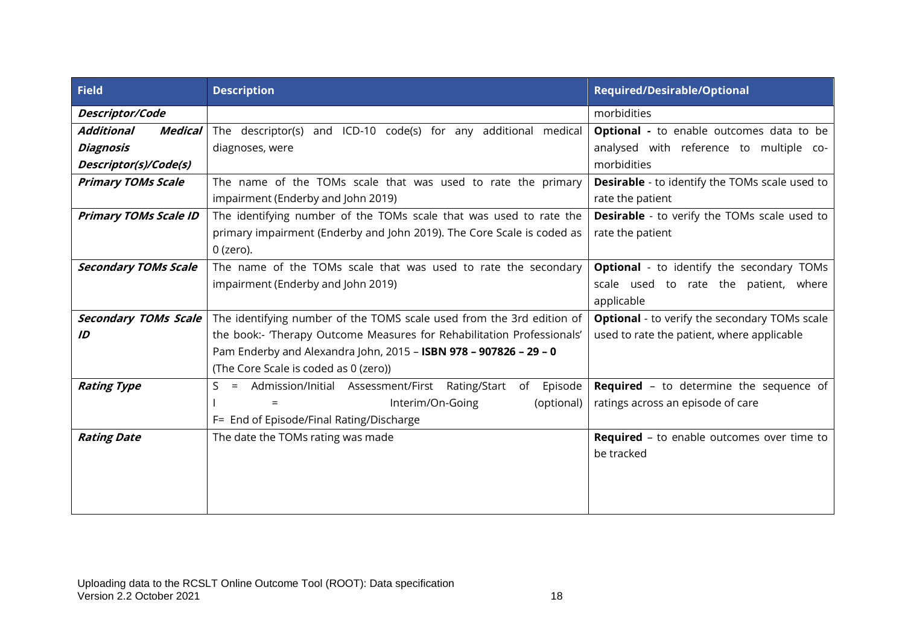| <b>Field</b>                        | <b>Description</b>                                                              | <b>Required/Desirable/Optional</b>                    |
|-------------------------------------|---------------------------------------------------------------------------------|-------------------------------------------------------|
| Descriptor/Code                     |                                                                                 | morbidities                                           |
| <b>Medical</b><br><b>Additional</b> | The descriptor(s) and ICD-10 code(s) for any additional medical                 | Optional - to enable outcomes data to be              |
| <b>Diagnosis</b>                    | diagnoses, were                                                                 | analysed with reference to multiple co-               |
| Descriptor(s)/Code(s)               |                                                                                 | morbidities                                           |
| <b>Primary TOMs Scale</b>           | The name of the TOMs scale that was used to rate the primary                    | <b>Desirable</b> - to identify the TOMs scale used to |
|                                     | impairment (Enderby and John 2019)                                              | rate the patient                                      |
| <b>Primary TOMs Scale ID</b>        | The identifying number of the TOMs scale that was used to rate the              | <b>Desirable</b> - to verify the TOMs scale used to   |
|                                     | primary impairment (Enderby and John 2019). The Core Scale is coded as          | rate the patient                                      |
|                                     | 0 (zero).                                                                       |                                                       |
| <b>Secondary TOMs Scale</b>         | The name of the TOMs scale that was used to rate the secondary                  | <b>Optional</b> - to identify the secondary TOMs      |
|                                     | impairment (Enderby and John 2019)                                              | scale used to rate the patient, where                 |
|                                     |                                                                                 | applicable                                            |
| <b>Secondary TOMs Scale</b>         | The identifying number of the TOMS scale used from the 3rd edition of           | <b>Optional</b> - to verify the secondary TOMs scale  |
| ID                                  | the book:- 'Therapy Outcome Measures for Rehabilitation Professionals'          | used to rate the patient, where applicable            |
|                                     | Pam Enderby and Alexandra John, 2015 - ISBN 978 - 907826 - 29 - 0               |                                                       |
|                                     | (The Core Scale is coded as 0 (zero))                                           |                                                       |
| <b>Rating Type</b>                  | Admission/Initial Assessment/First Rating/Start<br>of<br>Episode<br>S.<br>$=$ . | <b>Required</b> - to determine the sequence of        |
|                                     | Interim/On-Going<br>(optional)<br>$=$                                           | ratings across an episode of care                     |
|                                     | F= End of Episode/Final Rating/Discharge                                        |                                                       |
| <b>Rating Date</b>                  | The date the TOMs rating was made                                               | <b>Required</b> - to enable outcomes over time to     |
|                                     |                                                                                 | be tracked                                            |
|                                     |                                                                                 |                                                       |
|                                     |                                                                                 |                                                       |
|                                     |                                                                                 |                                                       |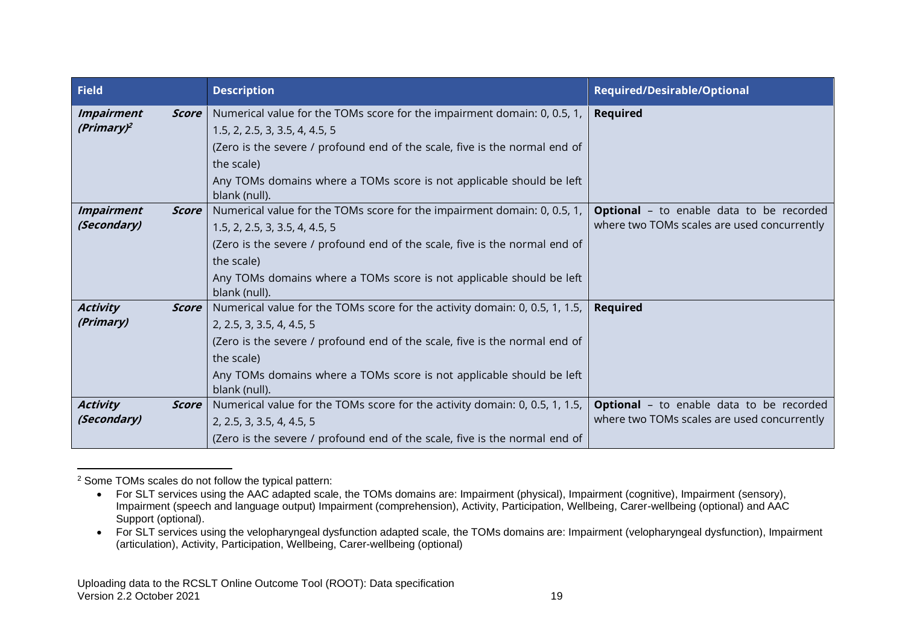| <b>Field</b>                       |              | <b>Description</b>                                                                                                                                                                                                                                                                              | <b>Required/Desirable/Optional</b>                                                             |
|------------------------------------|--------------|-------------------------------------------------------------------------------------------------------------------------------------------------------------------------------------------------------------------------------------------------------------------------------------------------|------------------------------------------------------------------------------------------------|
| <b>Impairment</b><br>$(Primary)^2$ | <b>Score</b> | Numerical value for the TOMs score for the impairment domain: 0, 0.5, 1,<br>1.5, 2, 2.5, 3, 3.5, 4, 4.5, 5<br>(Zero is the severe / profound end of the scale, five is the normal end of<br>the scale)<br>Any TOMs domains where a TOMs score is not applicable should be left<br>blank (null). | <b>Required</b>                                                                                |
| <b>Impairment</b><br>(Secondary)   | <b>Score</b> | Numerical value for the TOMs score for the impairment domain: 0, 0.5, 1,<br>1.5, 2, 2.5, 3, 3.5, 4, 4.5, 5<br>(Zero is the severe / profound end of the scale, five is the normal end of<br>the scale)<br>Any TOMs domains where a TOMs score is not applicable should be left<br>blank (null). | <b>Optional</b> - to enable data to be recorded<br>where two TOMs scales are used concurrently |
| <b>Activity</b><br>(Primary)       | Score        | Numerical value for the TOMs score for the activity domain: 0, 0.5, 1, 1.5,<br>2, 2.5, 3, 3.5, 4, 4.5, 5<br>(Zero is the severe / profound end of the scale, five is the normal end of<br>the scale)<br>Any TOMs domains where a TOMs score is not applicable should be left<br>blank (null).   | <b>Required</b>                                                                                |
| <b>Activity</b><br>(Secondary)     | Score        | Numerical value for the TOMs score for the activity domain: 0, 0.5, 1, 1.5,<br>2, 2.5, 3, 3.5, 4, 4.5, 5<br>(Zero is the severe / profound end of the scale, five is the normal end of                                                                                                          | <b>Optional</b> - to enable data to be recorded<br>where two TOMs scales are used concurrently |

<sup>2</sup> Some TOMs scales do not follow the typical pattern:

<sup>•</sup> For SLT services using the AAC adapted scale, the TOMs domains are: Impairment (physical), Impairment (cognitive), Impairment (sensory), Impairment (speech and language output) Impairment (comprehension), Activity, Participation, Wellbeing, Carer-wellbeing (optional) and AAC Support (optional).

<sup>•</sup> For SLT services using the velopharyngeal dysfunction adapted scale, the TOMs domains are: Impairment (velopharyngeal dysfunction), Impairment (articulation), Activity, Participation, Wellbeing, Carer-wellbeing (optional)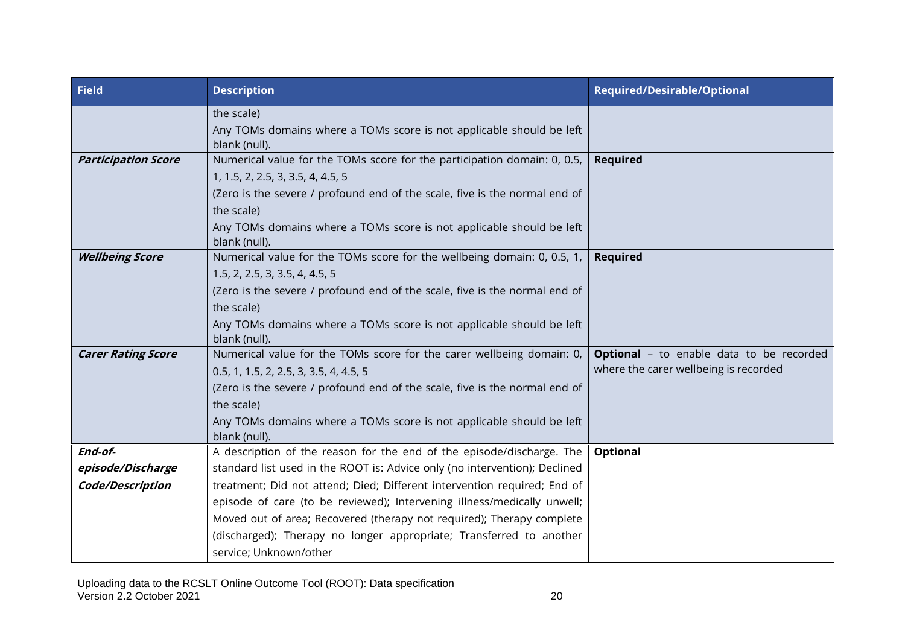| <b>Field</b>               | <b>Description</b>                                                                    | <b>Required/Desirable/Optional</b>              |
|----------------------------|---------------------------------------------------------------------------------------|-------------------------------------------------|
|                            | the scale)                                                                            |                                                 |
|                            | Any TOMs domains where a TOMs score is not applicable should be left<br>blank (null). |                                                 |
| <b>Participation Score</b> | Numerical value for the TOMs score for the participation domain: 0, 0.5,              | <b>Required</b>                                 |
|                            | 1, 1.5, 2, 2.5, 3, 3.5, 4, 4.5, 5                                                     |                                                 |
|                            | (Zero is the severe / profound end of the scale, five is the normal end of            |                                                 |
|                            | the scale)                                                                            |                                                 |
|                            | Any TOMs domains where a TOMs score is not applicable should be left                  |                                                 |
|                            | blank (null).                                                                         |                                                 |
| <b>Wellbeing Score</b>     | Numerical value for the TOMs score for the wellbeing domain: 0, 0.5, 1, $\vert$       | <b>Required</b>                                 |
|                            | 1.5, 2, 2.5, 3, 3.5, 4, 4.5, 5                                                        |                                                 |
|                            | (Zero is the severe / profound end of the scale, five is the normal end of            |                                                 |
|                            | the scale)                                                                            |                                                 |
|                            | Any TOMs domains where a TOMs score is not applicable should be left<br>blank (null). |                                                 |
| <b>Carer Rating Score</b>  | Numerical value for the TOMs score for the carer wellbeing domain: 0,                 | <b>Optional</b> - to enable data to be recorded |
|                            | 0.5, 1, 1.5, 2, 2.5, 3, 3.5, 4, 4.5, 5                                                | where the carer wellbeing is recorded           |
|                            | (Zero is the severe / profound end of the scale, five is the normal end of            |                                                 |
|                            | the scale)                                                                            |                                                 |
|                            | Any TOMs domains where a TOMs score is not applicable should be left                  |                                                 |
|                            | blank (null).                                                                         |                                                 |
| End-of-                    | A description of the reason for the end of the episode/discharge. The                 | Optional                                        |
| episode/Discharge          | standard list used in the ROOT is: Advice only (no intervention); Declined            |                                                 |
| Code/Description           | treatment; Did not attend; Died; Different intervention required; End of              |                                                 |
|                            | episode of care (to be reviewed); Intervening illness/medically unwell;               |                                                 |
|                            | Moved out of area; Recovered (therapy not required); Therapy complete                 |                                                 |
|                            | (discharged); Therapy no longer appropriate; Transferred to another                   |                                                 |
|                            | service; Unknown/other                                                                |                                                 |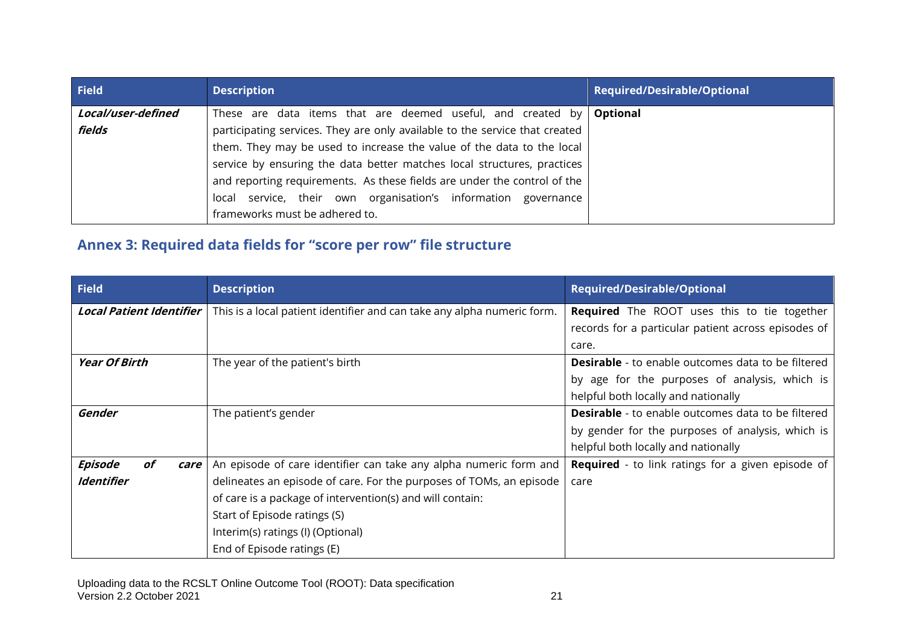| <b>Field</b>       | <b>Description</b>                                                          | Required/Desirable/Optional |
|--------------------|-----------------------------------------------------------------------------|-----------------------------|
| Local/user-defined | These are data items that are deemed useful, and created by <b>Optional</b> |                             |
| fields             | participating services. They are only available to the service that created |                             |
|                    | them. They may be used to increase the value of the data to the local       |                             |
|                    | service by ensuring the data better matches local structures, practices     |                             |
|                    | and reporting requirements. As these fields are under the control of the    |                             |
|                    | local service, their own organisation's information governance              |                             |
|                    | frameworks must be adhered to.                                              |                             |

## **Annex 3: Required data fields for "score per row" file structure**

| <b>Field</b>                    | <b>Description</b>                                                      | <b>Required/Desirable/Optional</b>                        |
|---------------------------------|-------------------------------------------------------------------------|-----------------------------------------------------------|
| <b>Local Patient Identifier</b> | This is a local patient identifier and can take any alpha numeric form. | <b>Required</b> The ROOT uses this to tie together        |
|                                 |                                                                         | records for a particular patient across episodes of       |
|                                 |                                                                         | care.                                                     |
| <b>Year Of Birth</b>            | The year of the patient's birth                                         | <b>Desirable</b> - to enable outcomes data to be filtered |
|                                 |                                                                         | by age for the purposes of analysis, which is             |
|                                 |                                                                         | helpful both locally and nationally                       |
| Gender                          | The patient's gender                                                    | <b>Desirable</b> - to enable outcomes data to be filtered |
|                                 |                                                                         | by gender for the purposes of analysis, which is          |
|                                 |                                                                         | helpful both locally and nationally                       |
| Episode<br>οf<br>care           | An episode of care identifier can take any alpha numeric form and       | <b>Required</b> - to link ratings for a given episode of  |
| <b>Identifier</b>               | delineates an episode of care. For the purposes of TOMs, an episode     | care                                                      |
|                                 | of care is a package of intervention(s) and will contain:               |                                                           |
|                                 | Start of Episode ratings (S)                                            |                                                           |
|                                 | Interim(s) ratings (I) (Optional)                                       |                                                           |
|                                 | End of Episode ratings (E)                                              |                                                           |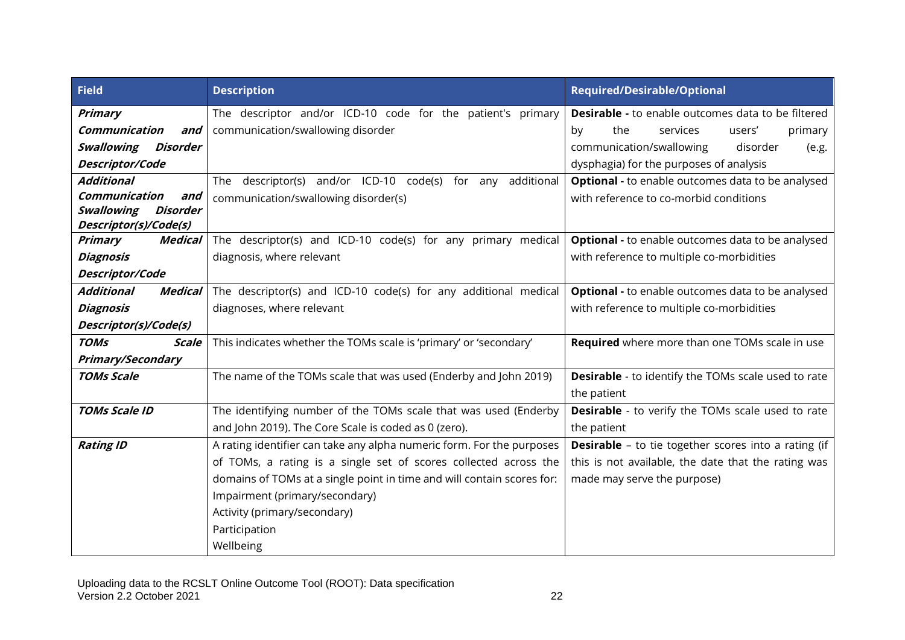| <b>Field</b>                                              | <b>Description</b>                                                     | <b>Required/Desirable/Optional</b>                          |
|-----------------------------------------------------------|------------------------------------------------------------------------|-------------------------------------------------------------|
| <b>Primary</b>                                            | The descriptor and/or ICD-10 code for the patient's primary            | <b>Desirable - to enable outcomes data to be filtered</b>   |
| Communication<br>and                                      | communication/swallowing disorder                                      | the<br>by<br>services<br>users'<br>primary                  |
| Swallowing<br>Disorder                                    |                                                                        | communication/swallowing<br>disorder<br>(e.g.               |
| Descriptor/Code                                           |                                                                        | dysphagia) for the purposes of analysis                     |
| <b>Additional</b>                                         | descriptor(s) and/or ICD-10 code(s) for any<br>additional<br>The       | <b>Optional - to enable outcomes data to be analysed</b>    |
| Communication<br>and                                      | communication/swallowing disorder(s)                                   | with reference to co-morbid conditions                      |
| Swallowing<br>Disorder                                    |                                                                        |                                                             |
| Descriptor(s)/Code(s)<br><b>Primary</b><br><b>Medical</b> | The descriptor(s) and ICD-10 code(s) for any primary medical           | Optional - to enable outcomes data to be analysed           |
| Diagnosis                                                 | diagnosis, where relevant                                              | with reference to multiple co-morbidities                   |
|                                                           |                                                                        |                                                             |
| Descriptor/Code<br><b>Additional</b>                      |                                                                        |                                                             |
| <b>Medical</b>                                            | The descriptor(s) and ICD-10 code(s) for any additional medical        | <b>Optional - to enable outcomes data to be analysed</b>    |
| <b>Diagnosis</b>                                          | diagnoses, where relevant                                              | with reference to multiple co-morbidities                   |
| Descriptor(s)/Code(s)                                     |                                                                        |                                                             |
| <b>TOMs</b><br><b>Scale</b>                               | This indicates whether the TOMs scale is 'primary' or 'secondary'      | Required where more than one TOMs scale in use              |
| <b>Primary/Secondary</b>                                  |                                                                        |                                                             |
| <b>TOMs Scale</b>                                         | The name of the TOMs scale that was used (Enderby and John 2019)       | <b>Desirable</b> - to identify the TOMs scale used to rate  |
|                                                           |                                                                        | the patient                                                 |
| <b>TOMs Scale ID</b>                                      | The identifying number of the TOMs scale that was used (Enderby        | <b>Desirable</b> - to verify the TOMs scale used to rate    |
|                                                           | and John 2019). The Core Scale is coded as 0 (zero).                   | the patient                                                 |
| <b>Rating ID</b>                                          | A rating identifier can take any alpha numeric form. For the purposes  | <b>Desirable</b> - to tie together scores into a rating (if |
|                                                           | of TOMs, a rating is a single set of scores collected across the       | this is not available, the date that the rating was         |
|                                                           | domains of TOMs at a single point in time and will contain scores for: | made may serve the purpose)                                 |
|                                                           | Impairment (primary/secondary)                                         |                                                             |
|                                                           | Activity (primary/secondary)                                           |                                                             |
|                                                           | Participation                                                          |                                                             |
|                                                           | Wellbeing                                                              |                                                             |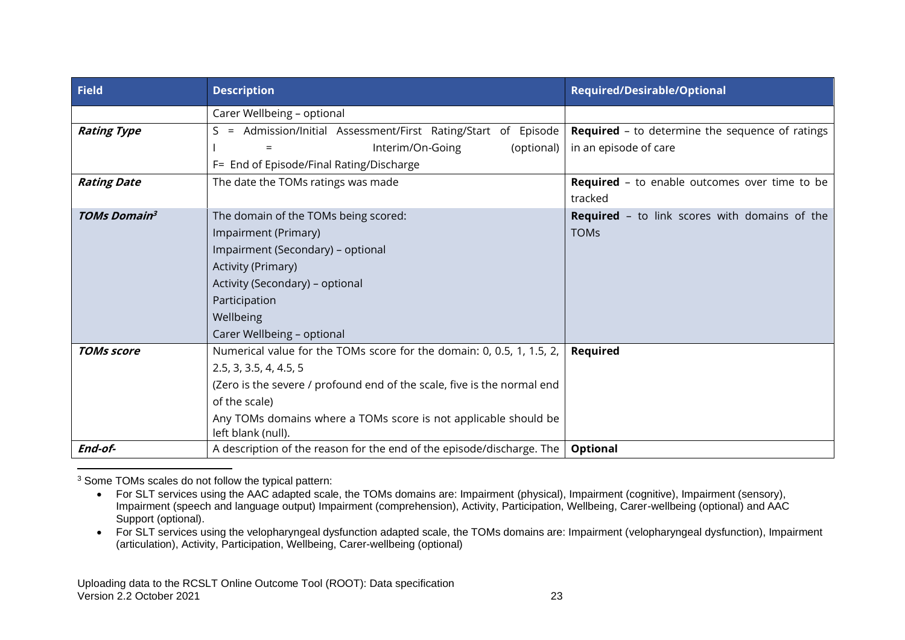| <b>Field</b>        | <b>Description</b>                                                                    | <b>Required/Desirable/Optional</b>                     |
|---------------------|---------------------------------------------------------------------------------------|--------------------------------------------------------|
|                     | Carer Wellbeing - optional                                                            |                                                        |
| <b>Rating Type</b>  | Admission/Initial Assessment/First Rating/Start of Episode<br>$S =$                   | <b>Required</b> - to determine the sequence of ratings |
|                     | Interim/On-Going<br>(optional)                                                        | in an episode of care                                  |
|                     | F= End of Episode/Final Rating/Discharge                                              |                                                        |
| <b>Rating Date</b>  | The date the TOMs ratings was made                                                    | <b>Required</b> - to enable outcomes over time to be   |
|                     |                                                                                       | tracked                                                |
| <b>TOMs Domain3</b> | The domain of the TOMs being scored:                                                  | <b>Required</b> - to link scores with domains of the   |
|                     | Impairment (Primary)                                                                  | <b>TOMs</b>                                            |
|                     | Impairment (Secondary) - optional                                                     |                                                        |
|                     | <b>Activity (Primary)</b>                                                             |                                                        |
|                     | Activity (Secondary) - optional                                                       |                                                        |
|                     | Participation                                                                         |                                                        |
|                     | Wellbeing                                                                             |                                                        |
|                     | Carer Wellbeing - optional                                                            |                                                        |
| <b>TOMs score</b>   | Numerical value for the TOMs score for the domain: 0, 0.5, 1, 1.5, 2,                 | Required                                               |
|                     | 2.5, 3, 3.5, 4, 4.5, 5                                                                |                                                        |
|                     | (Zero is the severe / profound end of the scale, five is the normal end               |                                                        |
|                     | of the scale)                                                                         |                                                        |
|                     | Any TOMs domains where a TOMs score is not applicable should be<br>left blank (null). |                                                        |
| End-of-             | A description of the reason for the end of the episode/discharge. The                 | Optional                                               |

<sup>3</sup> Some TOMs scales do not follow the typical pattern:

<sup>•</sup> For SLT services using the AAC adapted scale, the TOMs domains are: Impairment (physical), Impairment (cognitive), Impairment (sensory), Impairment (speech and language output) Impairment (comprehension), Activity, Participation, Wellbeing, Carer-wellbeing (optional) and AAC Support (optional).

<sup>•</sup> For SLT services using the velopharyngeal dysfunction adapted scale, the TOMs domains are: Impairment (velopharyngeal dysfunction), Impairment (articulation), Activity, Participation, Wellbeing, Carer-wellbeing (optional)